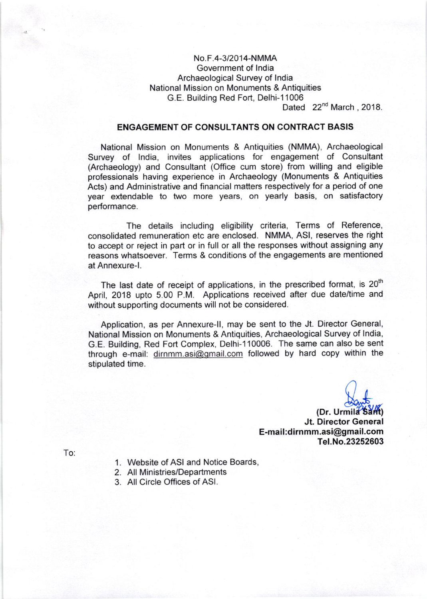## No.F.4-3l2014-NMMA Government of lndia Archaeological Survey of lndia National Mission on Monuments & Antiquities G.E. Building Red Fort, Delhi-11006

Dated 22<sup>nd</sup> March, 2018.

### ENGAGEMENT OF CONSULTANTS ON CONTRACT BASIS

National Mission on Monuments & Antiquities (NMMA), Archaeological Survey of lndia, invites applications for engagement of Consultant (Archaeology) and Consultant (Office cum store) from willing and eligible professionals having experience in Archaeology (Monuments & Antiquities Acts) and Administrative and financial matters respectively for a period of one year extendable to two more years, on yearly basis, on satisfactory performance.

The details including eligibility criteria, Terms of Reference, consolidated remuneration etc are enclosed. NMMA, ASl, reserves the right to accept or reject in part or in full or all the responses without assigning any reasons whatsoever. Terms & conditions of the engagements are mentioned at Annexure-1.

The last date of receipt of applications, in the prescribed format, is 20<sup>th</sup> April, 2018 upto 5.00 P.M. Applications received after due date/time and without supporting documents will not be considered.

Application, as per Annexure-ll, may be sent to the Jt. Director General, National Mission on Monuments & Antiquities, Archaeological Survey of lndia, G.E. Building, Red Fort Complex, Delhi-110006. The same can also be sent through e-mail: dirnmm.asi@qmail.com followed by hard copy within the stipulated time.

 $\bigcup_{\substack{\text{dom}\\\text{mid }2k}}$ 

(Dr. Urmila<sup>2</sup>Samt) Jt. Director General E-mail:dirnmm.asi@gmail.com Te1.No.23252603

To:

- 1. Website of ASI and Notice Boards,
- 2. All Ministries/Departments
- 3. All Circle Offices of ASl.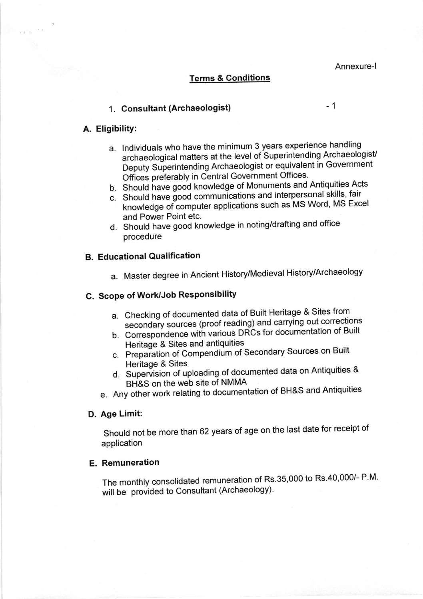Annexure-l

#### Terms & Conditions

## 1. Consultant (Archaeologist) **1. Consultant** (Archaeologist)

#### A. EligibilitY:

 $\mathbb{R}^{\mathbb{Z}^n\times \mathbb{Z}^n}$  and  $\mathbb{C}^{\mathbb{Z}^n\times \mathbb{Z}^n}$ 

- a. lndividuals who have the minimum 3 years experience handling niumuals who have the minimum of your competition Archaeologist Deputy Superintending Archaeologist or equivalent in Government Offices preferably in Central Government Offices.
- b. Should have good knowledge of Monuments and Antiquities Acts
- c. Should have good communications and interpersonal skills, fair . knowledge of computer applications such as MS Word' MS Excel and Power Point etc.
- d. Should have good knowledge in noting/drafting and office procedure

#### B. Educational Qualification

a. Master degree in Ancient History/Medieval History/Archaeology

# C. Scope of Work/Job Responsibility

- a. Checking of documented data of Built Heritage & Sites from secondary sources (proof reading) and carrying out corrections
- b. Correspondence with various DRCs for documentation of Built Heritage & Sites and antiquities
- c. Preparation of Compendium of Secondary Sources on Built Heritage & Sites
- d. Supervision of uploading of documented data on Antiquities & BH&S on the web site of NMMA
- e. Any other work relating to documentation of BH&S and Antiquities

#### D. Age Limit:

Should not be more than 62 years of age on the last date for receipt of application

#### E. Remuneration

The monthly consolidated remuneration of Rs.35,000 to Rs.40,000/- P.M. will be provided to Consultant (Archaeology).